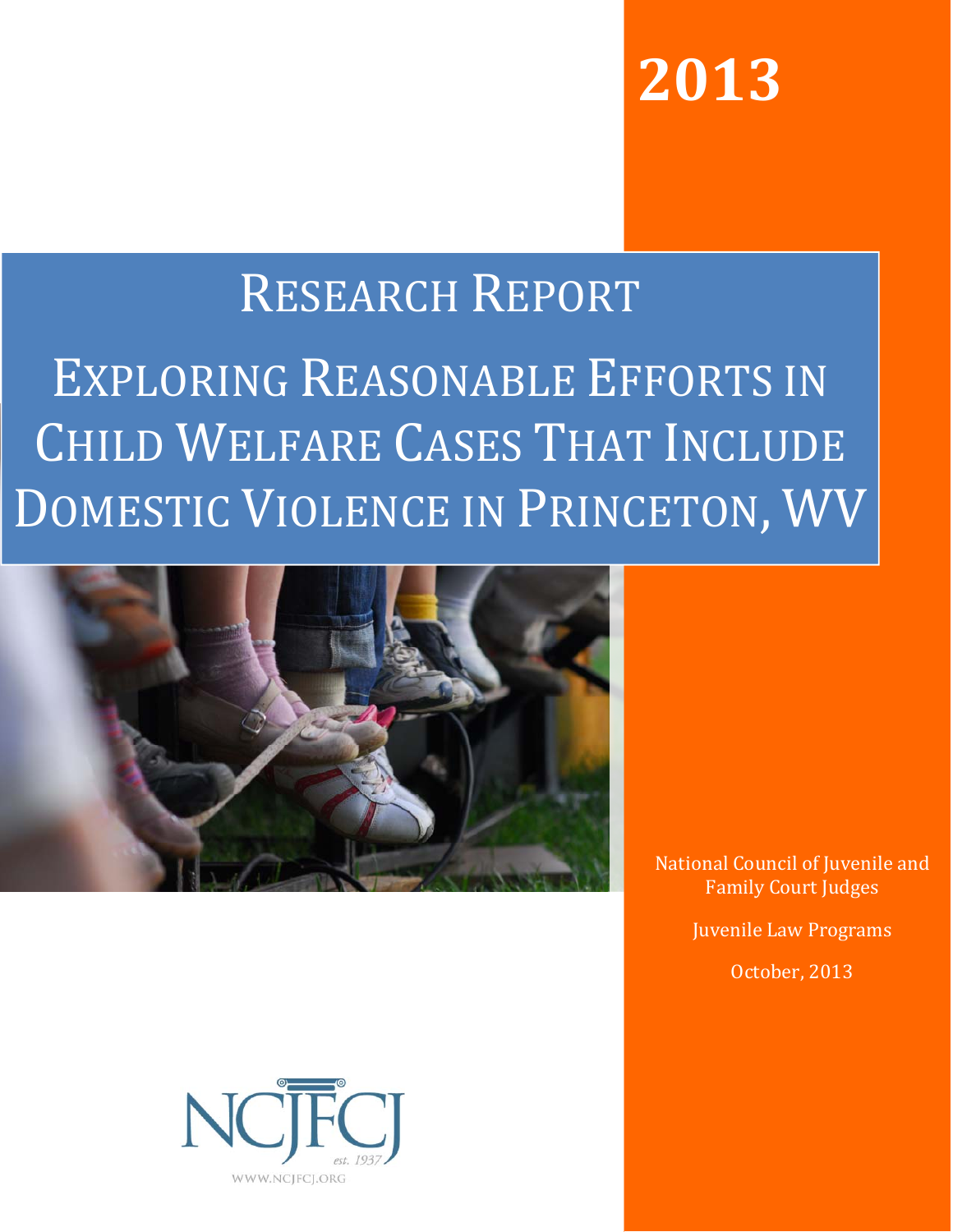**The author(s) shown below used Federal funds provided by the U.S. Department of Justice and prepared the following final report:**

| <b>Document Title:</b> | <b>Exploring Reasonable Efforts in Child Welfare</b><br><b>Cases that Include Domestic Violence in</b><br><b>Princetown, West Virginia</b> |  |  |  |
|------------------------|--------------------------------------------------------------------------------------------------------------------------------------------|--|--|--|
| Author(s):             | Lorie Sicafuse, Steve Wood, M.S., Alicia<br>Summers, Ph.D.                                                                                 |  |  |  |
| <b>Document No.:</b>   | 244703                                                                                                                                     |  |  |  |
| <b>Date Received:</b>  | January 2014                                                                                                                               |  |  |  |
| <b>Award Number:</b>   | 2012-MU-MU-K001                                                                                                                            |  |  |  |

**This report has not been published by the U.S. Department of Justice. To provide better customer service, NCJRS has made this Federallyfunded grant report available electronically.** 

> **Opinions or points of view expressed are those of the author(s) and do not necessarily reflect the official position or policies of the U.S. Department of Justice.**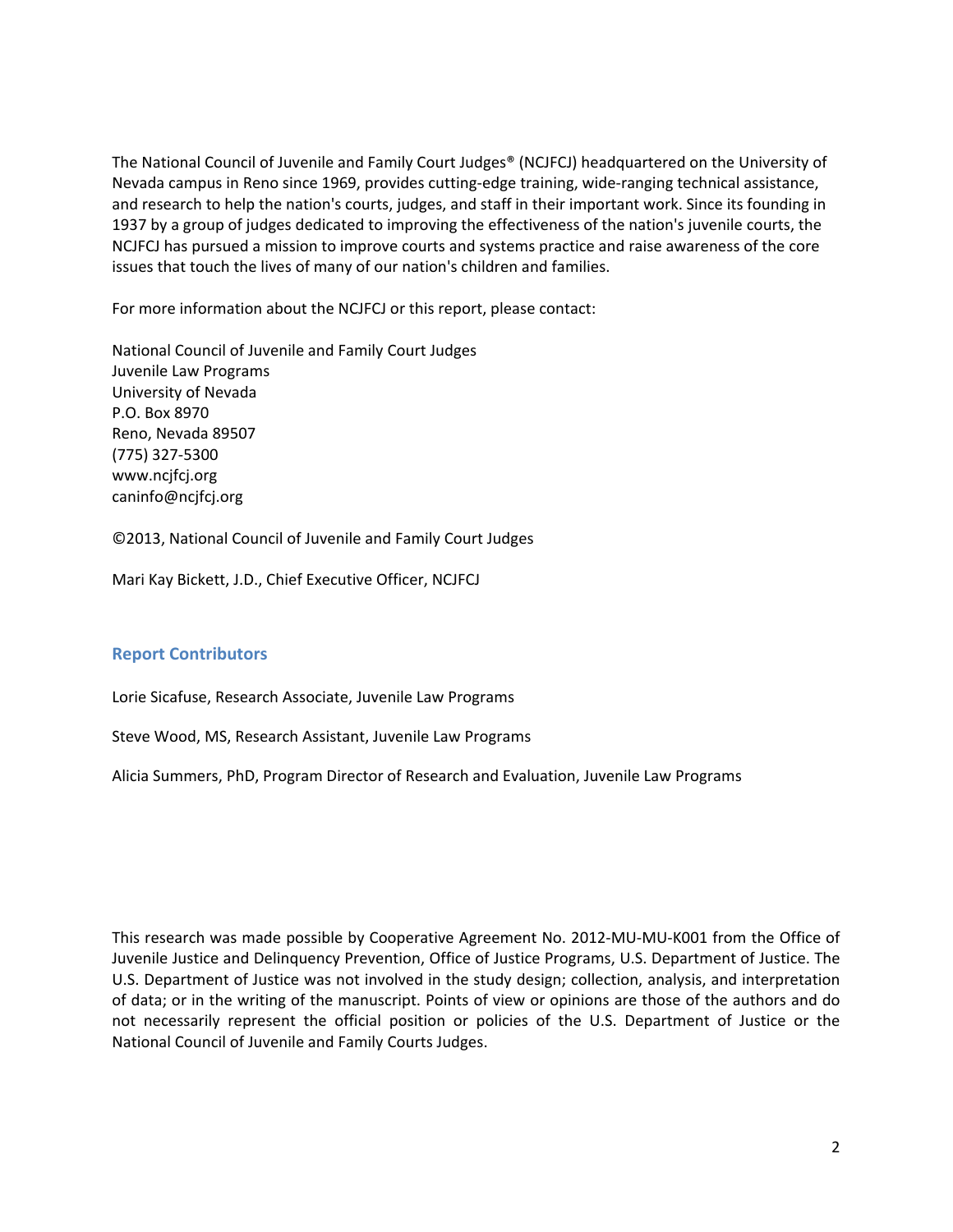# **2013**

# RESEARCH REPORT

# EXPLORING REASONABLE EFFORTS IN CHILD WELFARE CASES THAT INCLUDE DOMESTIC VIOLENCE IN PRINCETON, WV



National Council of Juvenile and Family Court Judges

Juvenile Law Programs

October, 2013

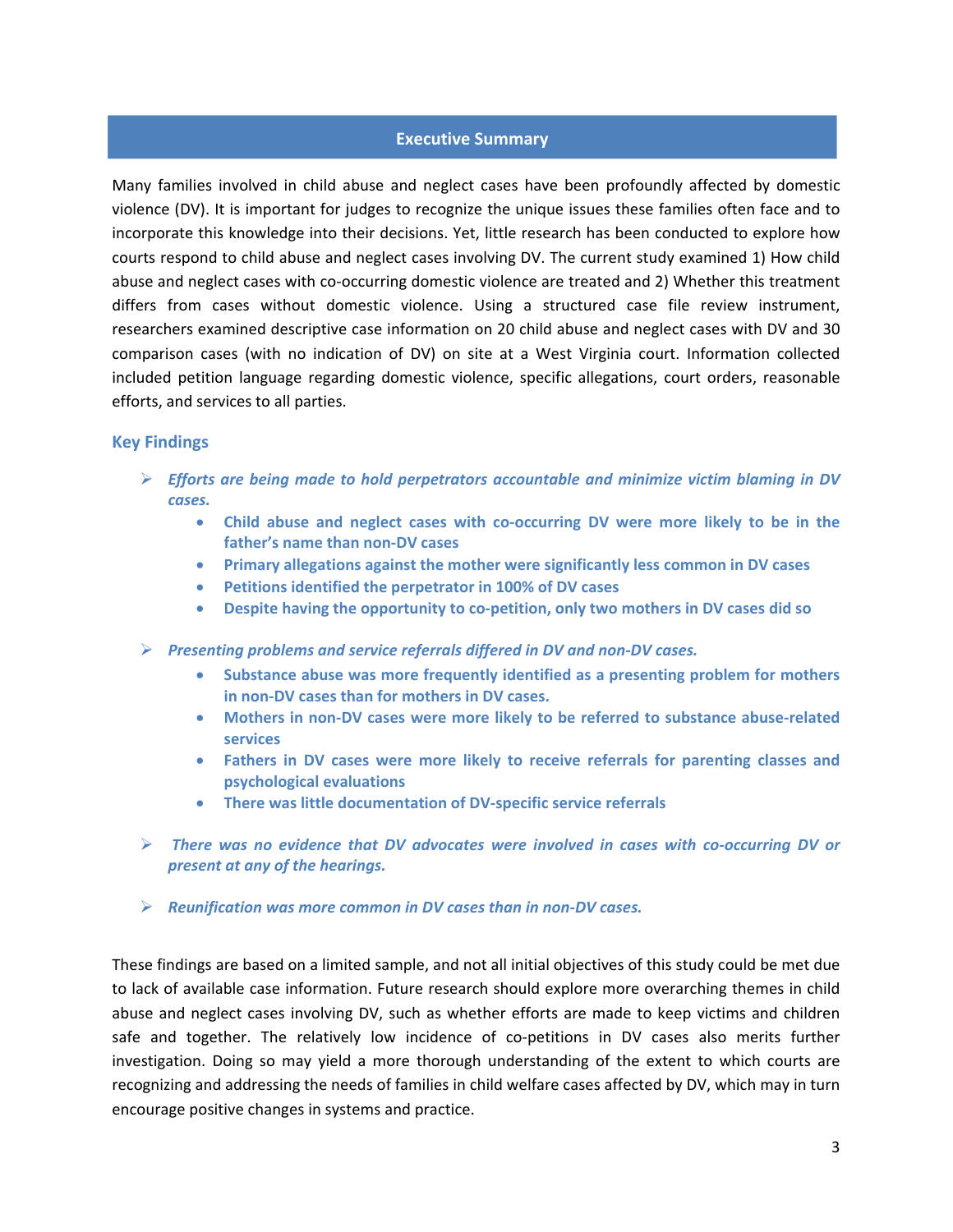The National Council of Juvenile and Family Court Judges® (NCJFCJ) headquartered on the University of Nevada campus in Reno since 1969, provides cutting‐edge training, wide‐ranging technical assistance, and research to help the nation's courts, judges, and staff in their important work. Since its founding in 1937 by a group of judges dedicated to improving the effectiveness of the nation's juvenile courts, the NCJFCJ has pursued a mission to improve courts and systems practice and raise awareness of the core issues that touch the lives of many of our nation's children and families.

For more information about the NCJFCJ or this report, please contact:

National Council of Juvenile and Family Court Judges Juvenile Law Programs University of Nevada P.O. Box 8970 Reno, Nevada 89507 (775) 327‐5300 www.ncjfcj.org caninfo@ncjfcj.org

©2013, National Council of Juvenile and Family Court Judges

Mari Kay Bickett, J.D., Chief Executive Officer, NCJFCJ

## **Report Contributors**

Lorie Sicafuse, Research Associate, Juvenile Law Programs

Steve Wood, MS, Research Assistant, Juvenile Law Programs

Alicia Summers, PhD, Program Director of Research and Evaluation, Juvenile Law Programs

This research was made possible by Cooperative Agreement No. 2012‐MU‐MU‐K001 from the Office of Juvenile Justice and Delinquency Prevention, Office of Justice Programs, U.S. Department of Justice. The U.S. Department of Justice was not involved in the study design; collection, analysis, and interpretation of data; or in the writing of the manuscript. Points of view or opinions are those of the authors and do not necessarily represent the official position or policies of the U.S. Department of Justice or the National Council of Juvenile and Family Courts Judges.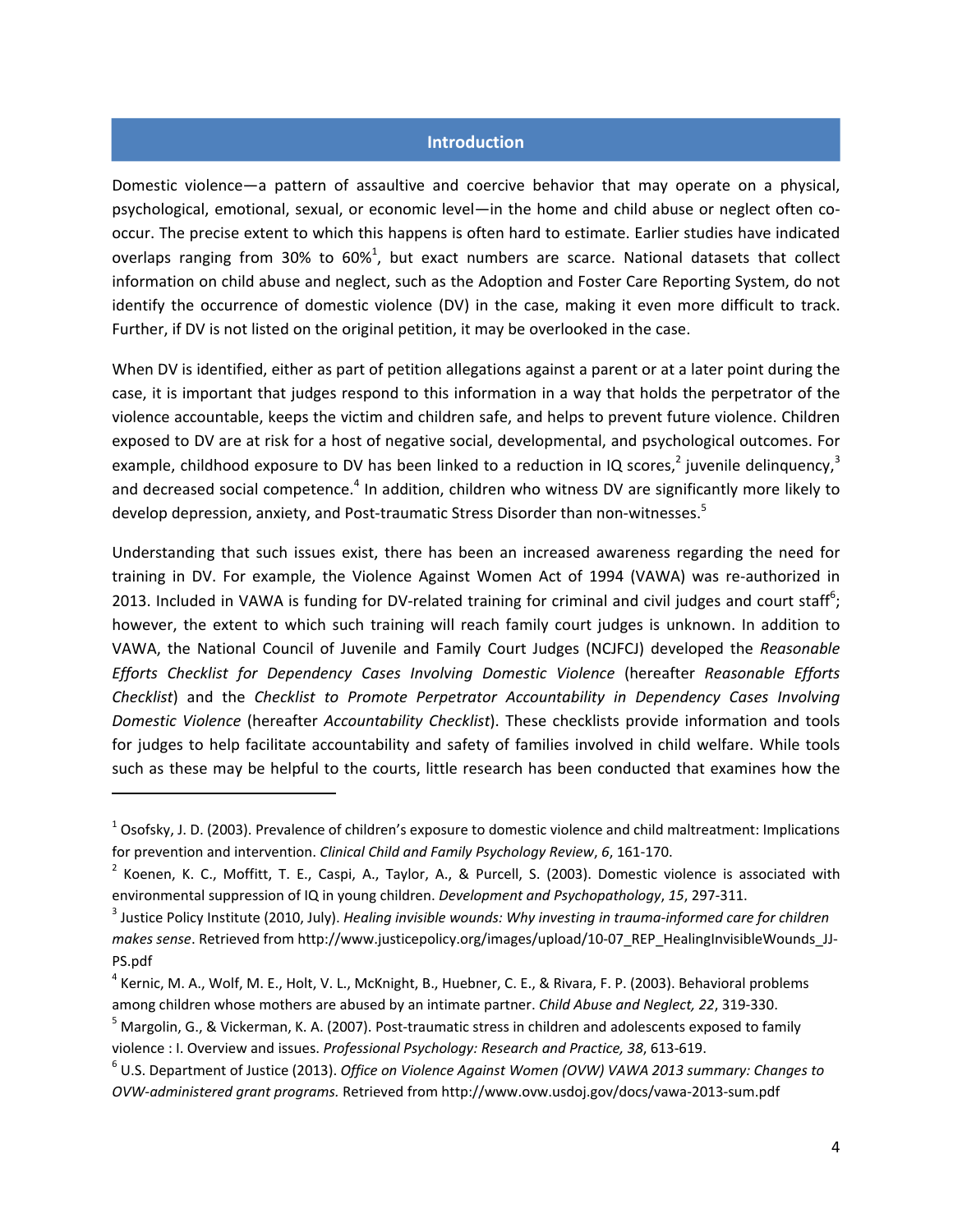#### **Executive Summary**

Many families involved in child abuse and neglect cases have been profoundly affected by domestic violence (DV). It is important for judges to recognize the unique issues these families often face and to incorporate this knowledge into their decisions. Yet, little research has been conducted to explore how courts respond to child abuse and neglect cases involving DV. The current study examined 1) How child abuse and neglect cases with co-occurring domestic violence are treated and 2) Whether this treatment differs from cases without domestic violence. Using a structured case file review instrument, researchers examined descriptive case information on 20 child abuse and neglect cases with DV and 30 comparison cases (with no indication of DV) on site at a West Virginia court. Information collected included petition language regarding domestic violence, specific allegations, court orders, reasonable efforts, and services to all parties.

#### **Key Findings**

- *Efforts are being made to hold perpetrators accountable and minimize victim blaming in DV cases.*
	- **Child abuse and neglect cases with co‐occurring DV were more likely to be in the father's name than non‐DV cases**
	- **Primary allegations against the mother were significantly less common in DV cases**
	- **Petitions identified the perpetrator in 100% of DV cases**
	- **Despite having the opportunity to co‐petition, only two mothers in DV cases did so**
- *Presenting problems and service referrals differed in DV and non‐DV cases.*
	- **Substance abuse was more frequently identified as a presenting problem for mothers in non‐DV cases than for mothers in DV cases.**
	- **Mothers in non‐DV cases were more likely to be referred to substance abuse‐related services**
	- **Fathers in DV cases were more likely to receive referrals for parenting classes and psychological evaluations**
	- **There was little documentation of DV‐specific service referrals**
- *There was no evidence that DV advocates were involved in cases with co‐occurring DV or present at any of the hearings.*
- *Reunification was more common in DV cases than in non‐DV cases.*

These findings are based on a limited sample, and not all initial objectives of this study could be met due to lack of available case information. Future research should explore more overarching themes in child abuse and neglect cases involving DV, such as whether efforts are made to keep victims and children safe and together. The relatively low incidence of co-petitions in DV cases also merits further investigation. Doing so may yield a more thorough understanding of the extent to which courts are recognizing and addressing the needs of families in child welfare cases affected by DV, which may in turn encourage positive changes in systems and practice.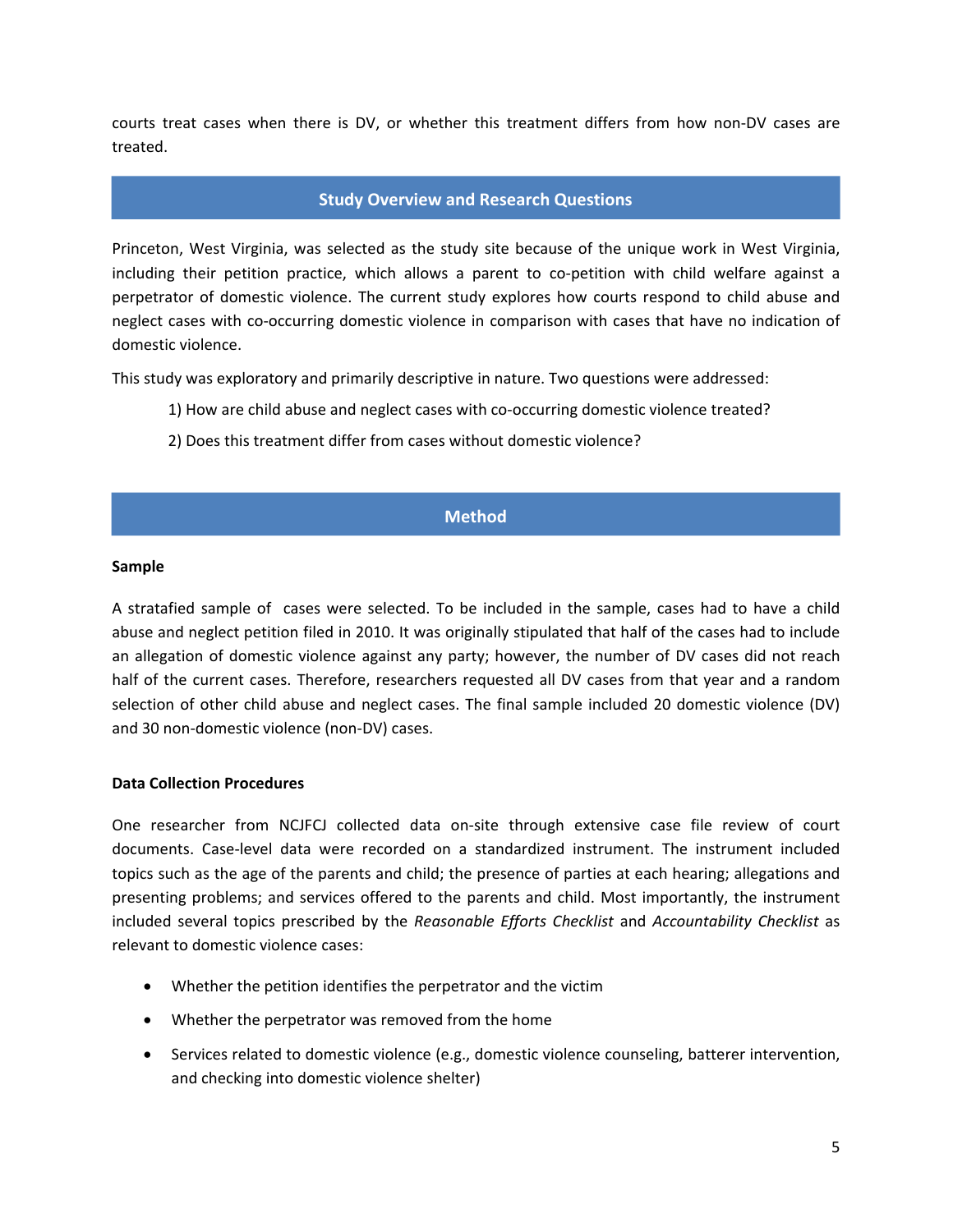#### **Introduction**

Domestic violence—a pattern of assaultive and coercive behavior that may operate on a physical, psychological, emotional, sexual, or economic level—in the home and child abuse or neglect often co‐ occur. The precise extent to which this happens is often hard to estimate. Earlier studies have indicated overlaps ranging from 30% to 60%<sup>1</sup>, but exact numbers are scarce. National datasets that collect information on child abuse and neglect, such as the Adoption and Foster Care Reporting System, do not identify the occurrence of domestic violence (DV) in the case, making it even more difficult to track. Further, if DV is not listed on the original petition, it may be overlooked in the case.

When DV is identified, either as part of petition allegations against a parent or at a later point during the case, it is important that judges respond to this information in a way that holds the perpetrator of the violence accountable, keeps the victim and children safe, and helps to prevent future violence. Children exposed to DV are at risk for a host of negative social, developmental, and psychological outcomes. For example, childhood exposure to DV has been linked to a reduction in IQ scores, invenile delinquency,  $3$ and decreased social competence.<sup>4</sup> In addition, children who witness DV are significantly more likely to develop depression, anxiety, and Post-traumatic Stress Disorder than non-witnesses.<sup>5</sup>

Understanding that such issues exist, there has been an increased awareness regarding the need for training in DV. For example, the Violence Against Women Act of 1994 (VAWA) was re-authorized in 2013. Included in VAWA is funding for DV-related training for criminal and civil judges and court staff<sup>6</sup>; however, the extent to which such training will reach family court judges is unknown. In addition to VAWA, the National Council of Juvenile and Family Court Judges (NCJFCJ) developed the *Reasonable Efforts Checklist for Dependency Cases Involving Domestic Violence* (hereafter *Reasonable Efforts Checklist*) and the *Checklist to Promote Perpetrator Accountability in Dependency Cases Involving Domestic Violence* (hereafter *Accountability Checklist*). These checklists provide information and tools for judges to help facilitate accountability and safety of families involved in child welfare. While tools such as these may be helpful to the courts, little research has been conducted that examines how the

 $1$  Osofsky, J. D. (2003). Prevalence of children's exposure to domestic violence and child maltreatment: Implications for prevention and intervention. *Clinical Child and Family Psychology Review*, *6*, 161‐170.

 $2$  Koenen, K. C., Moffitt, T. E., Caspi, A., Taylor, A., & Purcell, S. (2003). Domestic violence is associated with environmental suppression of IQ in young children. *Development and Psychopathology*, *15*, 297‐311.

<sup>3</sup> Justice Policy Institute (2010, July). *Healing invisible wounds: Why investing in trauma‐informed care for children makes sense*. Retrieved from http://www.justicepolicy.org/images/upload/10‐07\_REP\_HealingInvisibleWounds\_JJ‐ PS.pdf

 $4$  Kernic, M. A., Wolf, M. E., Holt, V. L., McKnight, B., Huebner, C. E., & Rivara, F. P. (2003). Behavioral problems among children whose mothers are abused by an intimate partner. *Child Abuse and Neglect, 22*, 319‐330.

 $<sup>5</sup>$  Margolin, G., & Vickerman, K. A. (2007). Post-traumatic stress in children and adolescents exposed to family</sup> violence : I. Overview and issues. *Professional Psychology: Research and Practice, 38*, 613‐619.

<sup>6</sup> U.S. Department of Justice (2013). *Office on Violence Against Women (OVW) VAWA 2013 summary: Changes to OVW‐administered grant programs.* Retrieved from http://www.ovw.usdoj.gov/docs/vawa‐2013‐sum.pdf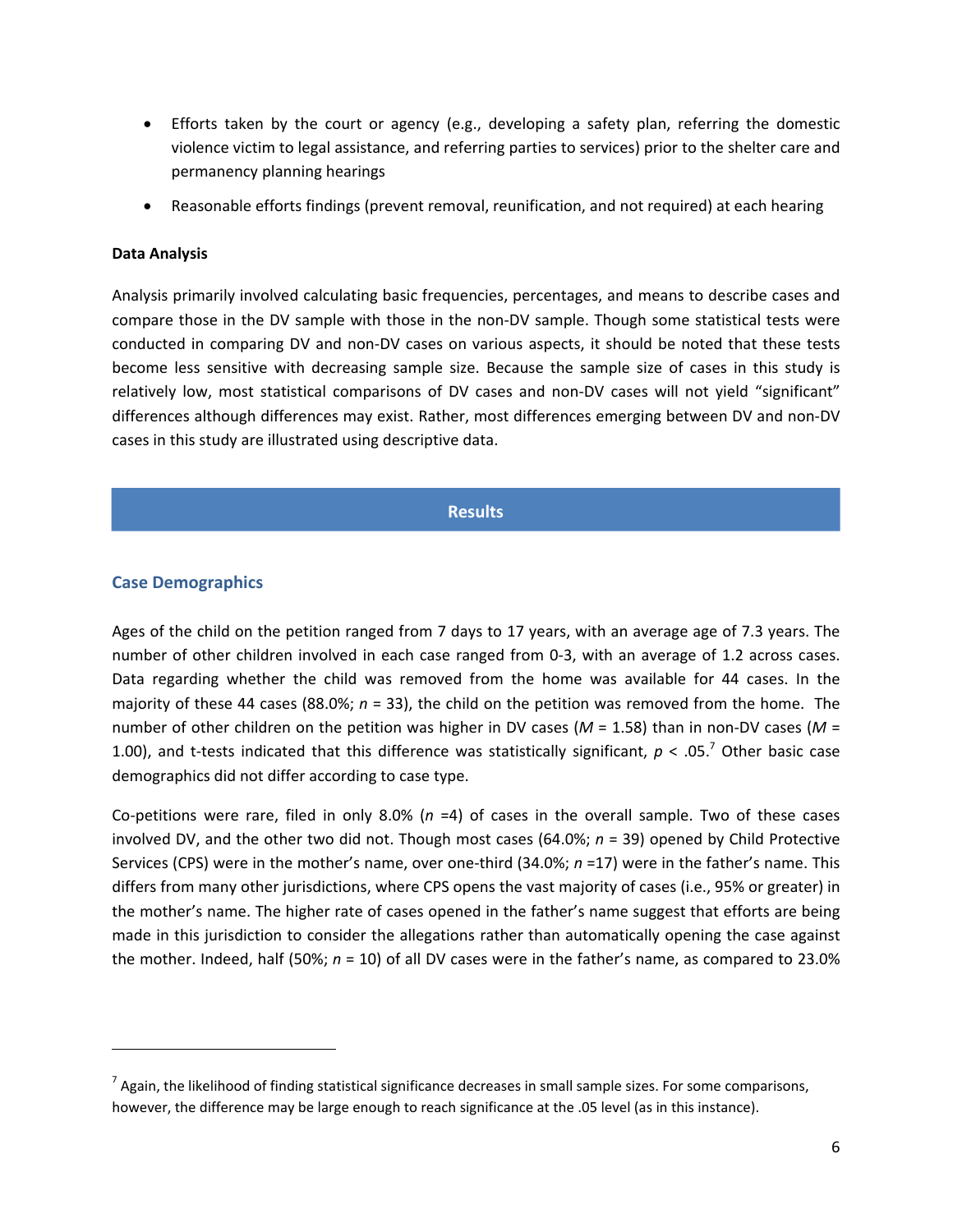courts treat cases when there is DV, or whether this treatment differs from how non‐DV cases are treated.

#### **Study Overview and Research Questions**

Princeton, West Virginia, was selected as the study site because of the unique work in West Virginia, including their petition practice, which allows a parent to co-petition with child welfare against a perpetrator of domestic violence. The current study explores how courts respond to child abuse and neglect cases with co‐occurring domestic violence in comparison with cases that have no indication of domestic violence.

This study was exploratory and primarily descriptive in nature. Two questions were addressed:

- 1) How are child abuse and neglect cases with co-occurring domestic violence treated?
- 2) Does this treatment differ from cases without domestic violence?

# **Method**

#### **Sample**

A stratafied sample of cases were selected. To be included in the sample, cases had to have a child abuse and neglect petition filed in 2010. It was originally stipulated that half of the cases had to include an allegation of domestic violence against any party; however, the number of DV cases did not reach half of the current cases. Therefore, researchers requested all DV cases from that year and a random selection of other child abuse and neglect cases. The final sample included 20 domestic violence (DV) and 30 non‐domestic violence (non‐DV) cases.

#### **Data Collection Procedures**

One researcher from NCJFCJ collected data on‐site through extensive case file review of court documents. Case‐level data were recorded on a standardized instrument. The instrument included topics such as the age of the parents and child; the presence of parties at each hearing; allegations and presenting problems; and services offered to the parents and child. Most importantly, the instrument included several topics prescribed by the *Reasonable Efforts Checklist* and *Accountability Checklist* as relevant to domestic violence cases:

- Whether the petition identifies the perpetrator and the victim
- Whether the perpetrator was removed from the home
- Services related to domestic violence (e.g., domestic violence counseling, batterer intervention, and checking into domestic violence shelter)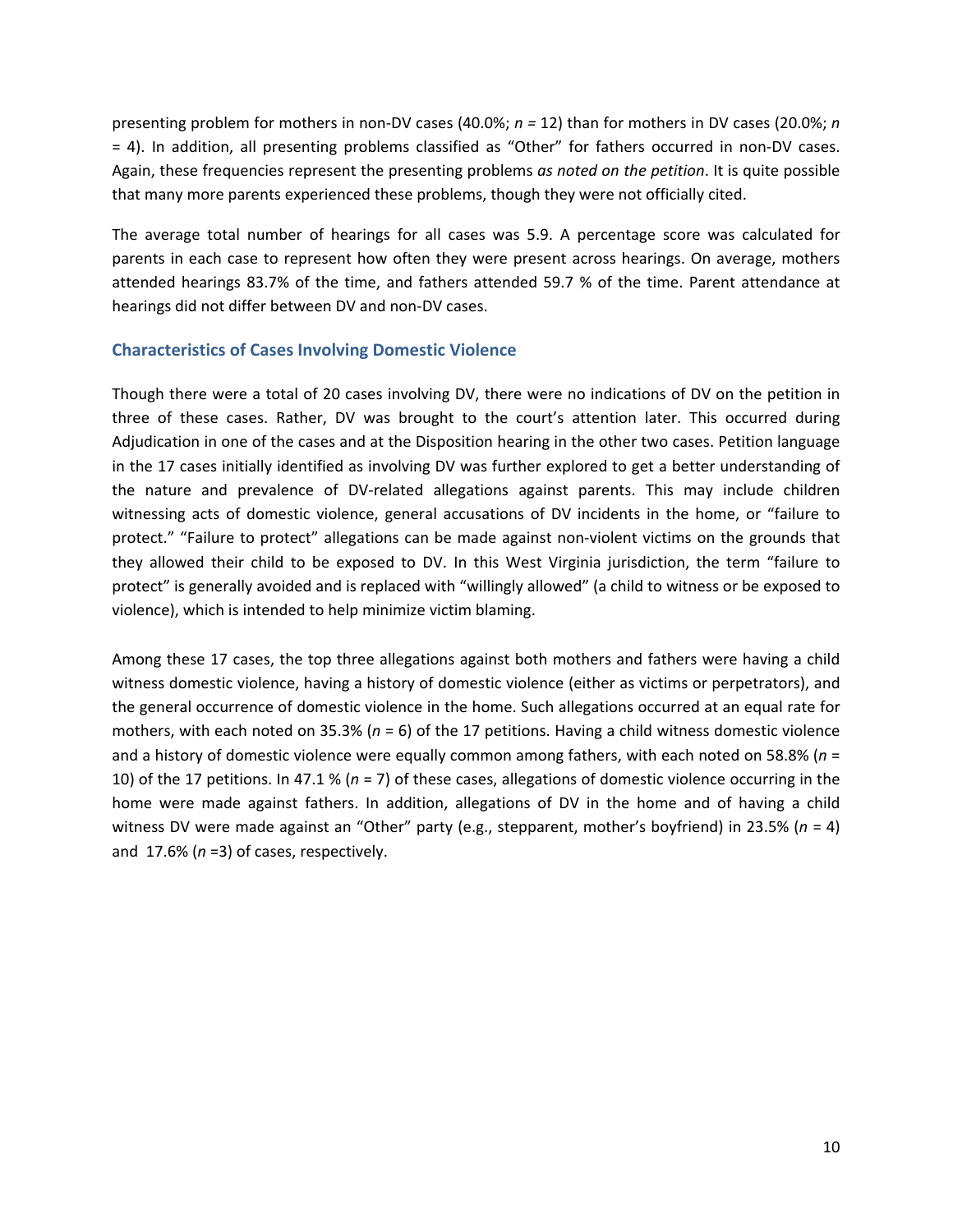| <b>Allegation</b>         | <b>Percentage of Cases</b> |                     |               |                         |  |
|---------------------------|----------------------------|---------------------|---------------|-------------------------|--|
|                           |                            | DV Cases $(n = 20)$ |               | Non-DV Cases $(n = 30)$ |  |
|                           | <b>Mother</b>              | <b>Father</b>       | <b>Mother</b> | <b>Father</b>           |  |
| Neglect/Abandonment       | 65.0%                      | 60.0%               | 76.7%         | 40.0%                   |  |
| <b>Other/Risk of harm</b> | 10.0%                      | 5.0%                | 10.0%         | 20.0%                   |  |
| <b>Physical abuse</b>     | 5.0%                       | 20.0%               | 16.7%         | 0                       |  |
| <b>Emotional abuse</b>    | 5.0%                       | 10.0%               | 3.3%          | 0                       |  |
| <b>Sexual abuse</b>       | 0                          | $\bf{0}$            | 0             | 3.3%                    |  |

# **Table 2. Frequencies of Specific Allegations against Parents in DV and Non‐DV Cases**

In this jurisdiction, petitions typically only identified one primary presenting problem related to the allegations. The frequencies of these presenting problems for both mothers and fathers in the overall sample of cases are displayed in Table 3. Substance abuse was the most common specific problem, noted on the petition for mothers in 32.0% (*n* =16) of cases and for fathers in 18.0% (*n* = 9) cases. Many of the presenting problems noted were unique and categorized as "Other". This occurred in 18.0% (*n* =9) of cases for mothers and in 16.0% (*n* = 8) of cases for fathers. Examples of such problems included prior TPRs and relinquishments, physical and sexual abuse of the siblings of the child on the petition (noted for father), and allowing sex offenders into the home (noted for mother).

# **Table 3. Presenting Problems for Parents in Overall Sample**

|                             | Percentage of Cases ( $N = 50$ ) |                |  |
|-----------------------------|----------------------------------|----------------|--|
| <b>Presenting Problem</b>   | <b>Mothers</b>                   | <b>Fathers</b> |  |
| <b>Substance Abuse</b>      | 32.0%                            | 18.0%          |  |
| <b>Unfit Home</b>           | 8.0%                             | 2.0%           |  |
| <b>Incarceration</b>        | 4.0%                             | 8.0%           |  |
| <b>Homeless</b>             | 6.0%                             | 4.0%           |  |
| <b>Mental Health Issues</b> | 2.0%                             | $\mathbf 0$    |  |
| <b>Child Behavior</b>       | 2.0%                             | 0              |  |
| <b>Whereabouts Unknown</b>  | 2.0%                             | $\mathbf 0$    |  |
| <b>Other</b>                | 18.0%                            | 16.0%          |  |

There were few differences in presenting problems for parents in DV and non‐DV cases, likely because the frequencies of most problems were low overall. Substance abuse was more frequently noted as a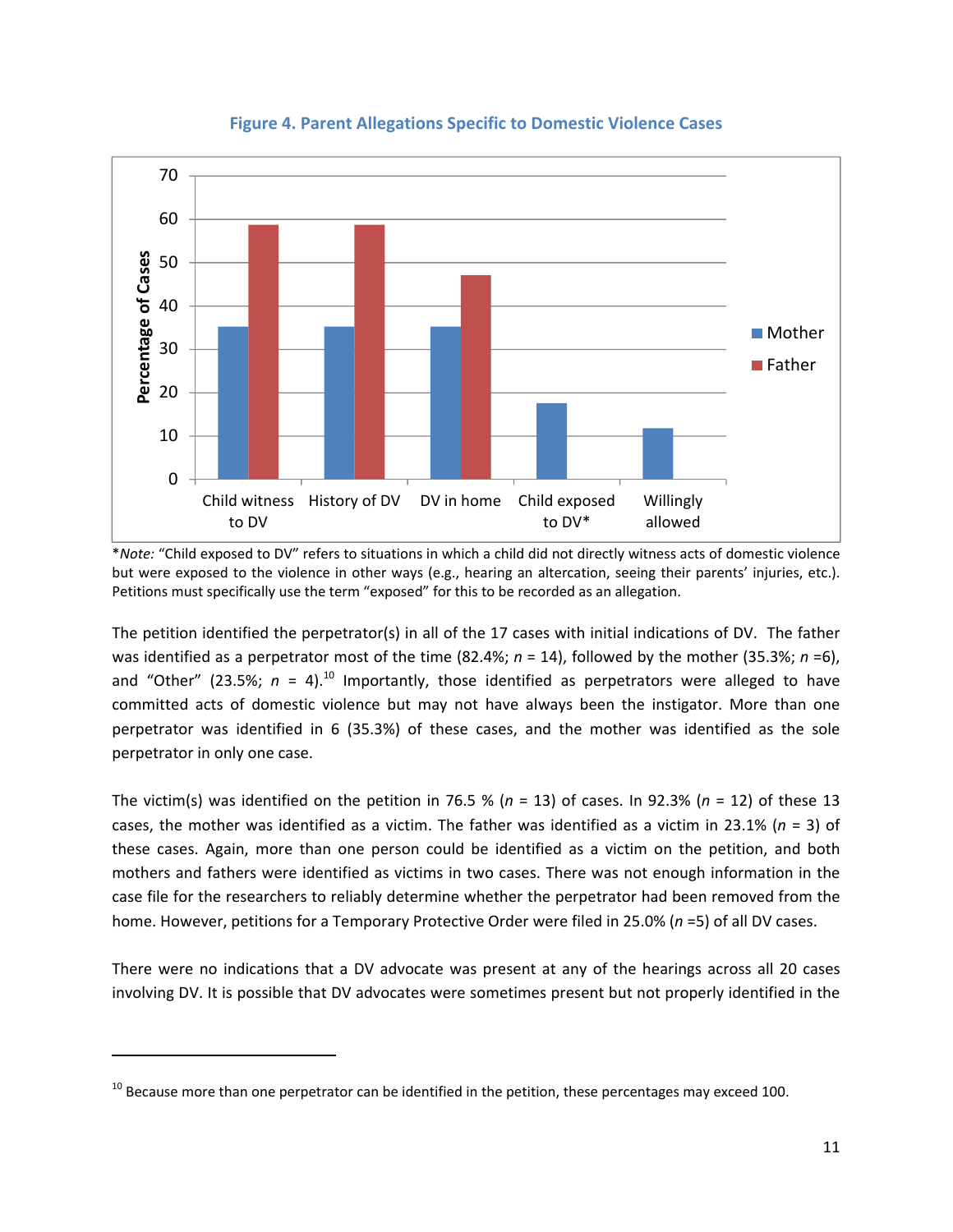presenting problem for mothers in non‐DV cases (40.0%; *n =* 12) than for mothers in DV cases (20.0%; *n* = 4). In addition, all presenting problems classified as "Other" for fathers occurred in non‐DV cases. Again, these frequencies represent the presenting problems *as noted on the petition*. It is quite possible that many more parents experienced these problems, though they were not officially cited.

The average total number of hearings for all cases was 5.9. A percentage score was calculated for parents in each case to represent how often they were present across hearings. On average, mothers attended hearings 83.7% of the time, and fathers attended 59.7 % of the time. Parent attendance at hearings did not differ between DV and non‐DV cases.

## **Characteristics of Cases Involving Domestic Violence**

Though there were a total of 20 cases involving DV, there were no indications of DV on the petition in three of these cases. Rather, DV was brought to the court's attention later. This occurred during Adjudication in one of the cases and at the Disposition hearing in the other two cases. Petition language in the 17 cases initially identified as involving DV was further explored to get a better understanding of the nature and prevalence of DV‐related allegations against parents. This may include children witnessing acts of domestic violence, general accusations of DV incidents in the home, or "failure to protect." "Failure to protect" allegations can be made against non-violent victims on the grounds that they allowed their child to be exposed to DV. In this West Virginia jurisdiction, the term "failure to protect" is generally avoided and is replaced with "willingly allowed" (a child to witness or be exposed to violence), which is intended to help minimize victim blaming.

Among these 17 cases, the top three allegations against both mothers and fathers were having a child witness domestic violence, having a history of domestic violence (either as victims or perpetrators), and the general occurrence of domestic violence in the home. Such allegations occurred at an equal rate for mothers, with each noted on 35.3% (*n* = 6) of the 17 petitions. Having a child witness domestic violence and a history of domestic violence were equally common among fathers, with each noted on 58.8% (*n* = 10) of the 17 petitions. In 47.1 % (*n* = 7) of these cases, allegations of domestic violence occurring in the home were made against fathers. In addition, allegations of DV in the home and of having a child witness DV were made against an "Other" party (e.g., stepparent, mother's boyfriend) in 23.5% (*n* = 4) and 17.6% (*n* =3) of cases, respectively.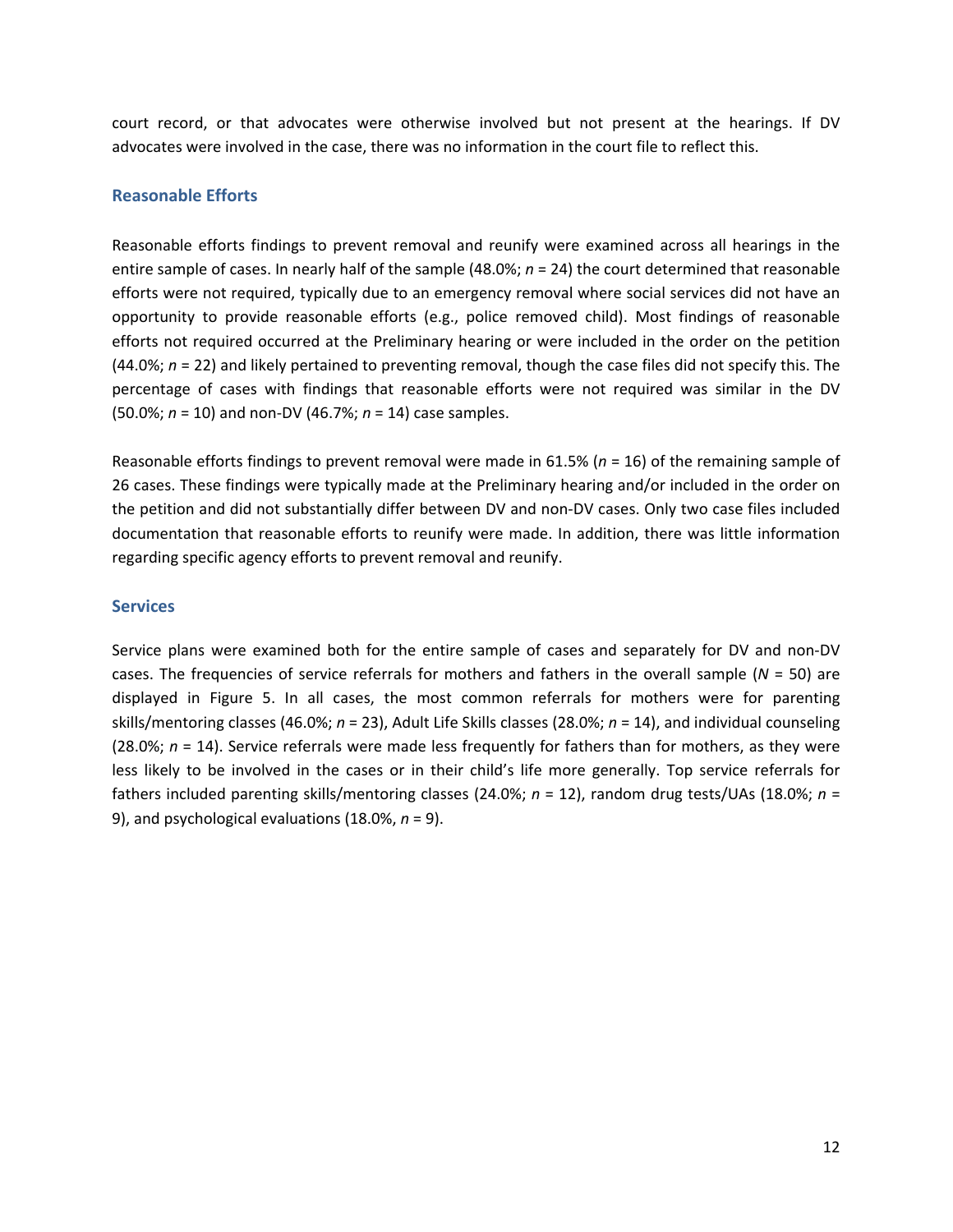

**Figure 4. Parent Allegations Specific to Domestic Violence Cases**

\**Note:* "Child exposed to DV" refers to situations in which a child did not directly witness acts of domestic violence but were exposed to the violence in other ways (e.g., hearing an altercation, seeing their parents' injuries, etc.). Petitions must specifically use the term "exposed" for this to be recorded as an allegation.

The petition identified the perpetrator(s) in all of the 17 cases with initial indications of DV. The father was identified as a perpetrator most of the time (82.4%; *n* = 14), followed by the mother (35.3%; *n* =6), and "Other" (23.5%;  $n = 4$ ).<sup>10</sup> Importantly, those identified as perpetrators were alleged to have committed acts of domestic violence but may not have always been the instigator. More than one perpetrator was identified in 6 (35.3%) of these cases, and the mother was identified as the sole perpetrator in only one case.

The victim(s) was identified on the petition in 76.5 % ( $n = 13$ ) of cases. In 92.3% ( $n = 12$ ) of these 13 cases, the mother was identified as a victim. The father was identified as a victim in 23.1% (*n* = 3) of these cases. Again, more than one person could be identified as a victim on the petition, and both mothers and fathers were identified as victims in two cases. There was not enough information in the case file for the researchers to reliably determine whether the perpetrator had been removed from the home. However, petitions for a Temporary Protective Order were filed in 25.0% (*n* =5) of all DV cases.

There were no indications that a DV advocate was present at any of the hearings across all 20 cases involving DV. It is possible that DV advocates were sometimes present but not properly identified in the

 $10$  Because more than one perpetrator can be identified in the petition, these percentages may exceed 100.

This document is a research report submitted to the U.S. Department of Justice. This report has not been published by the Department. Opinions or points of view expressed are those of the author(s) and do not necessarily reflect the official position or policies of the U.S. Department of Justice.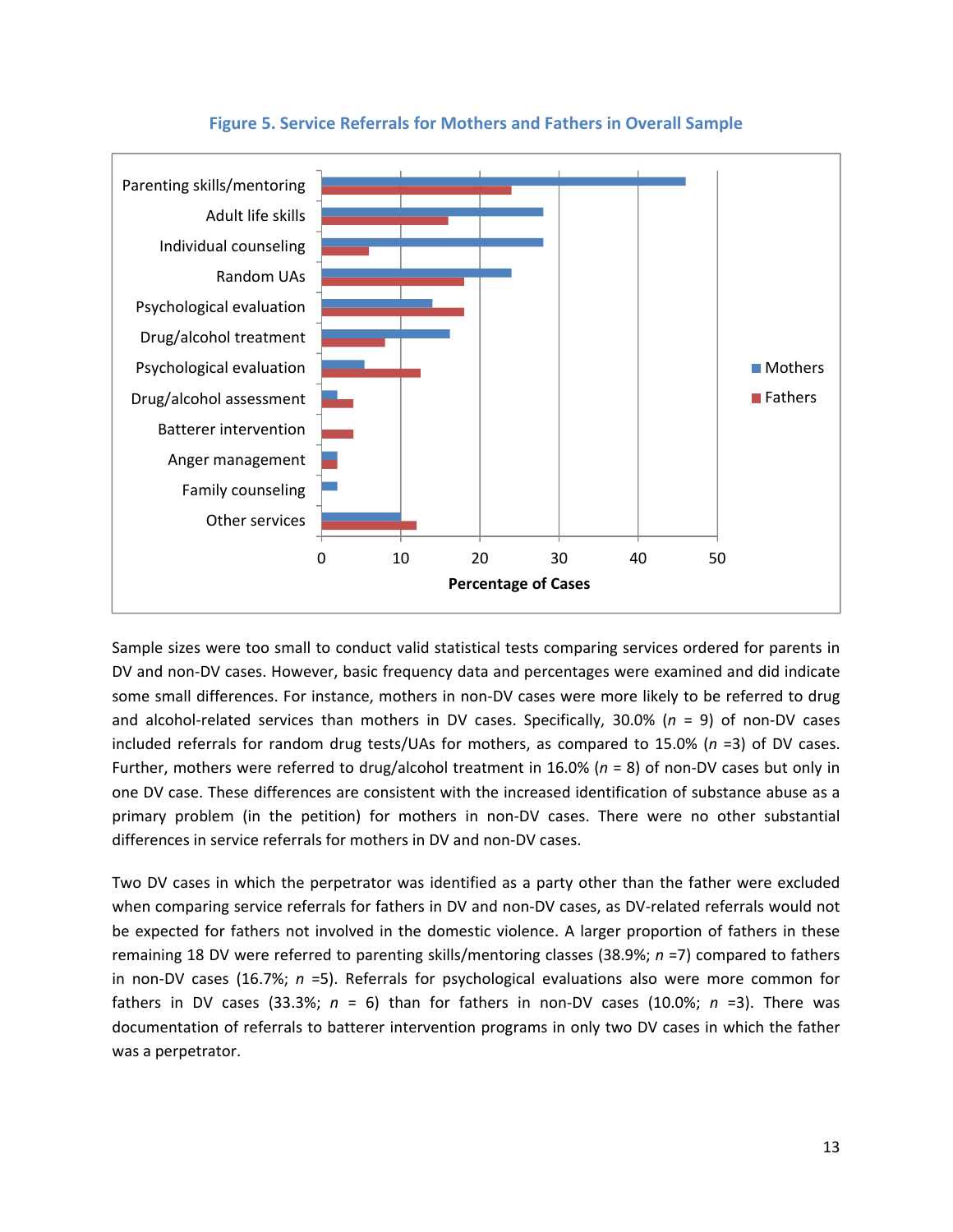court record, or that advocates were otherwise involved but not present at the hearings. If DV advocates were involved in the case, there was no information in the court file to reflect this.

# **Reasonable Efforts**

Reasonable efforts findings to prevent removal and reunify were examined across all hearings in the entire sample of cases. In nearly half of the sample (48.0%; *n* = 24) the court determined that reasonable efforts were not required, typically due to an emergency removal where social services did not have an opportunity to provide reasonable efforts (e.g., police removed child). Most findings of reasonable efforts not required occurred at the Preliminary hearing or were included in the order on the petition (44.0%; *n* = 22) and likely pertained to preventing removal, though the case files did not specify this. The percentage of cases with findings that reasonable efforts were not required was similar in the DV (50.0%; *n* = 10) and non‐DV (46.7%; *n* = 14) case samples.

Reasonable efforts findings to prevent removal were made in 61.5% (*n* = 16) of the remaining sample of 26 cases. These findings were typically made at the Preliminary hearing and/or included in the order on the petition and did not substantially differ between DV and non‐DV cases. Only two case files included documentation that reasonable efforts to reunify were made. In addition, there was little information regarding specific agency efforts to prevent removal and reunify.

#### **Services**

Service plans were examined both for the entire sample of cases and separately for DV and non‐DV cases. The frequencies of service referrals for mothers and fathers in the overall sample (*N* = 50) are displayed in Figure 5. In all cases, the most common referrals for mothers were for parenting skills/mentoring classes (46.0%; *n* = 23), Adult Life Skills classes (28.0%; *n* = 14), and individual counseling (28.0%; *n* = 14). Service referrals were made less frequently for fathers than for mothers, as they were less likely to be involved in the cases or in their child's life more generally. Top service referrals for fathers included parenting skills/mentoring classes (24.0%; *n* = 12), random drug tests/UAs (18.0%; *n* = 9), and psychological evaluations (18.0%, *n* = 9).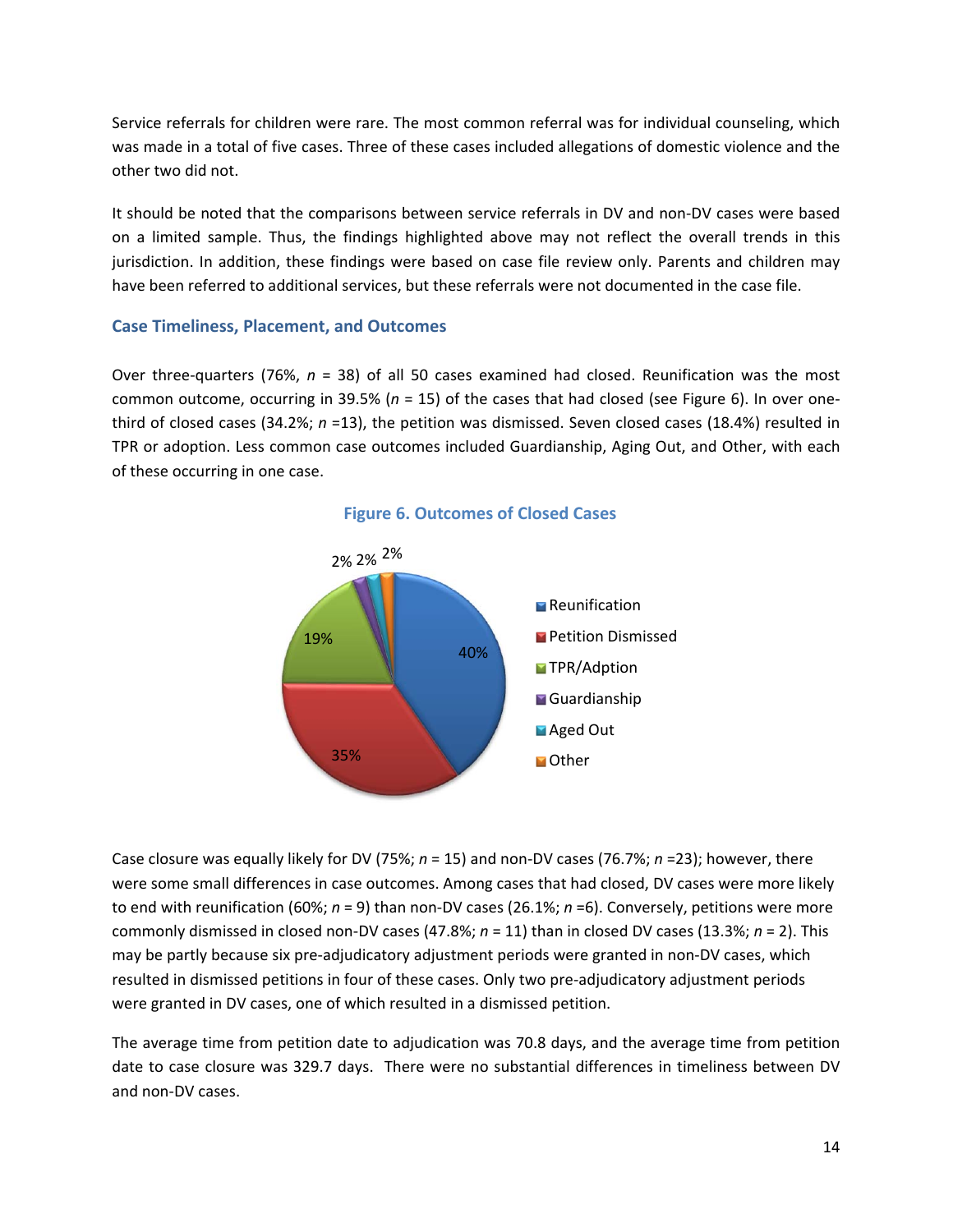

# **Figure 5. Service Referrals for Mothers and Fathers in Overall Sample**

Sample sizes were too small to conduct valid statistical tests comparing services ordered for parents in DV and non‐DV cases. However, basic frequency data and percentages were examined and did indicate some small differences. For instance, mothers in non-DV cases were more likely to be referred to drug and alcohol‐related services than mothers in DV cases. Specifically, 30.0% (*n* = 9) of non‐DV cases included referrals for random drug tests/UAs for mothers, as compared to 15.0% (*n* =3) of DV cases. Further, mothers were referred to drug/alcohol treatment in 16.0% (*n* = 8) of non‐DV cases but only in one DV case. These differences are consistent with the increased identification of substance abuse as a primary problem (in the petition) for mothers in non‐DV cases. There were no other substantial differences in service referrals for mothers in DV and non‐DV cases.

Two DV cases in which the perpetrator was identified as a party other than the father were excluded when comparing service referrals for fathers in DV and non-DV cases, as DV-related referrals would not be expected for fathers not involved in the domestic violence. A larger proportion of fathers in these remaining 18 DV were referred to parenting skills/mentoring classes (38.9%; *n* =7) compared to fathers in non‐DV cases (16.7%; *n* =5). Referrals for psychological evaluations also were more common for fathers in DV cases (33.3%;  $n = 6$ ) than for fathers in non-DV cases (10.0%;  $n = 3$ ). There was documentation of referrals to batterer intervention programs in only two DV cases in which the father was a perpetrator.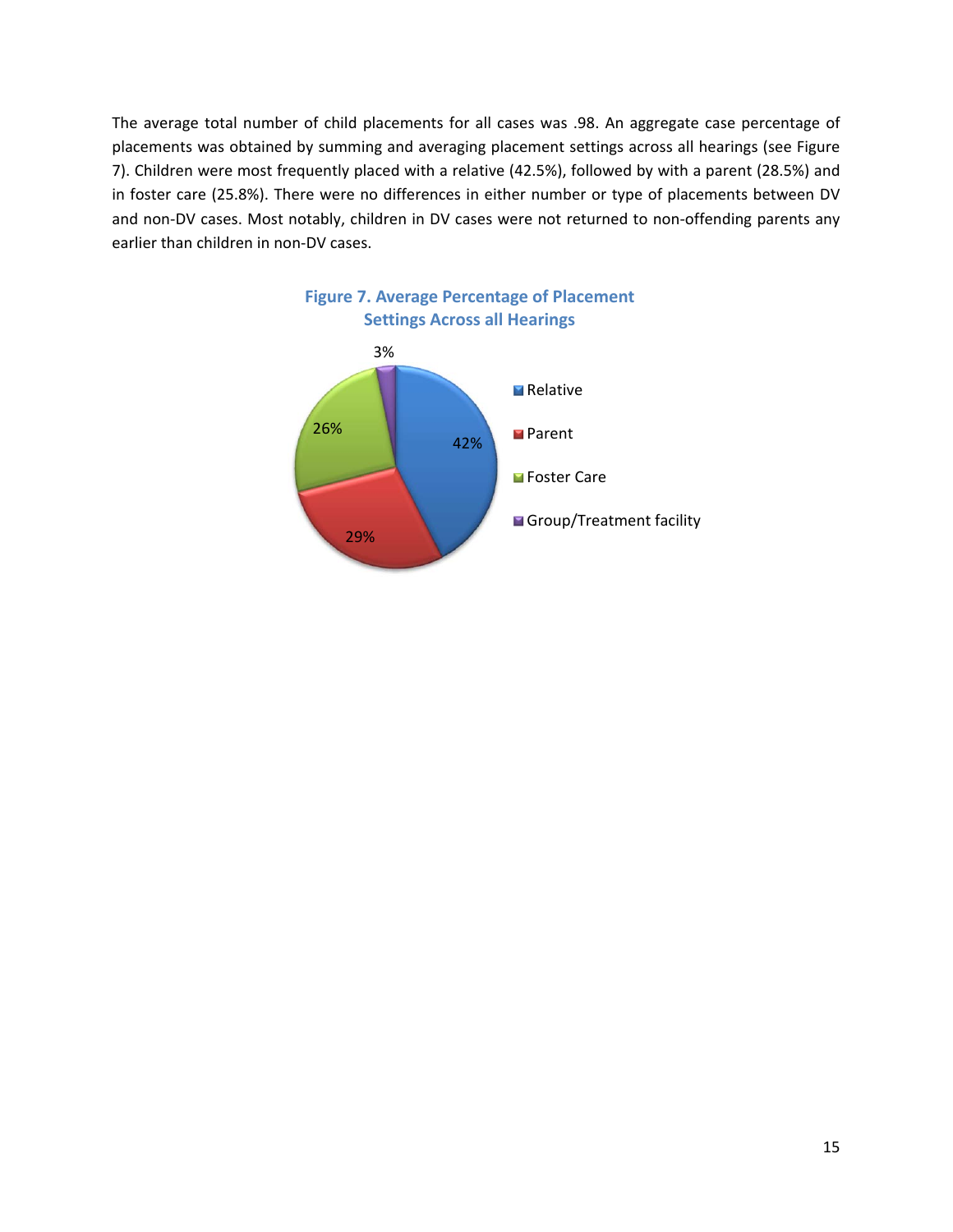Service referrals for children were rare. The most common referral was for individual counseling, which was made in a total of five cases. Three of these cases included allegations of domestic violence and the other two did not.

It should be noted that the comparisons between service referrals in DV and non‐DV cases were based on a limited sample. Thus, the findings highlighted above may not reflect the overall trends in this jurisdiction. In addition, these findings were based on case file review only. Parents and children may have been referred to additional services, but these referrals were not documented in the case file.

## **Case Timeliness, Placement, and Outcomes**

Over three‐quarters (76%, *n* = 38) of all 50 cases examined had closed. Reunification was the most common outcome, occurring in 39.5% (*n* = 15) of the cases that had closed (see Figure 6). In over one‐ third of closed cases (34.2%; *n* =13), the petition was dismissed. Seven closed cases (18.4%) resulted in TPR or adoption. Less common case outcomes included Guardianship, Aging Out, and Other, with each of these occurring in one case.



**Figure 6. Outcomes of Closed Cases**

Case closure was equally likely for DV (75%; *n* = 15) and non‐DV cases (76.7%; *n* =23); however, there were some small differences in case outcomes. Among cases that had closed, DV cases were more likely to end with reunification (60%; *n* = 9) than non‐DV cases (26.1%; *n* =6). Conversely, petitions were more commonly dismissed in closed non‐DV cases (47.8%; *n* = 11) than in closed DV cases (13.3%; *n* = 2). This may be partly because six pre-adjudicatory adjustment periods were granted in non-DV cases, which resulted in dismissed petitions in four of these cases. Only two pre‐adjudicatory adjustment periods were granted in DV cases, one of which resulted in a dismissed petition.

The average time from petition date to adjudication was 70.8 days, and the average time from petition date to case closure was 329.7 days. There were no substantial differences in timeliness between DV and non‐DV cases.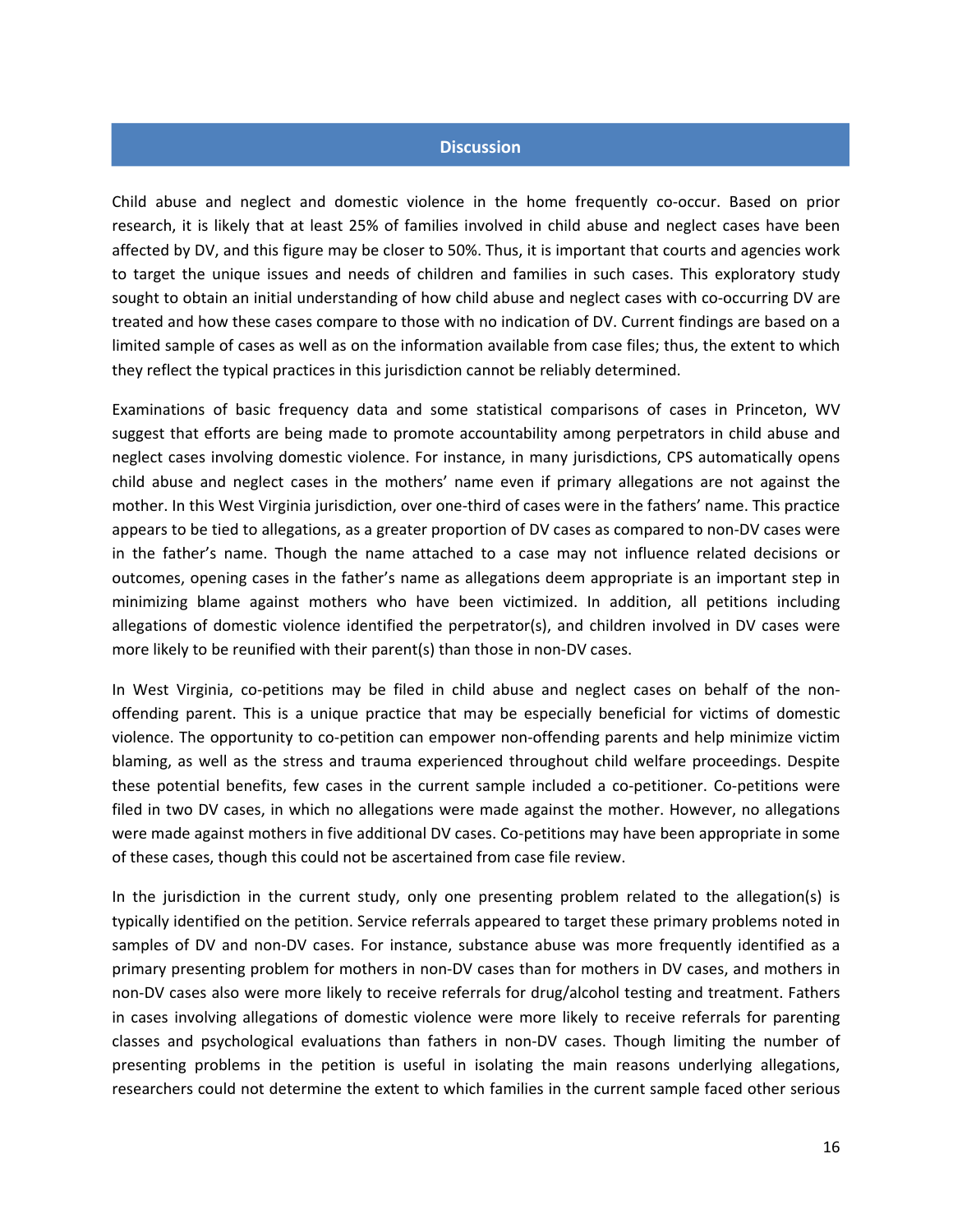The average total number of child placements for all cases was .98. An aggregate case percentage of placements was obtained by summing and averaging placement settings across all hearings (see Figure 7). Children were most frequently placed with a relative (42.5%), followed by with a parent (28.5%) and in foster care (25.8%). There were no differences in either number or type of placements between DV and non-DV cases. Most notably, children in DV cases were not returned to non-offending parents any earlier than children in non‐DV cases.



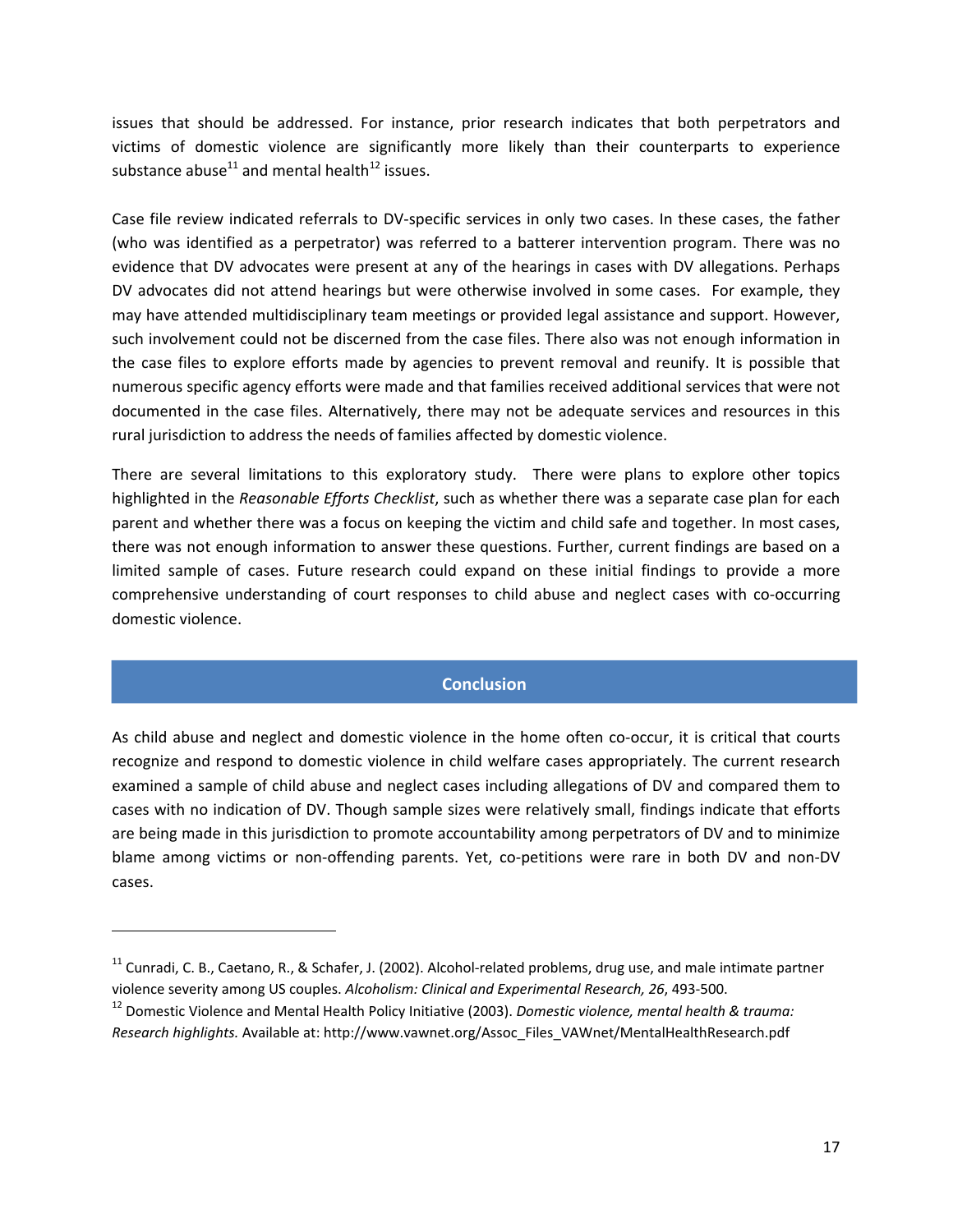#### **Discussion**

Child abuse and neglect and domestic violence in the home frequently co‐occur. Based on prior research, it is likely that at least 25% of families involved in child abuse and neglect cases have been affected by DV, and this figure may be closer to 50%. Thus, it is important that courts and agencies work to target the unique issues and needs of children and families in such cases. This exploratory study sought to obtain an initial understanding of how child abuse and neglect cases with co-occurring DV are treated and how these cases compare to those with no indication of DV. Current findings are based on a limited sample of cases as well as on the information available from case files; thus, the extent to which they reflect the typical practices in this jurisdiction cannot be reliably determined.

Examinations of basic frequency data and some statistical comparisons of cases in Princeton, WV suggest that efforts are being made to promote accountability among perpetrators in child abuse and neglect cases involving domestic violence. For instance, in many jurisdictions, CPS automatically opens child abuse and neglect cases in the mothers' name even if primary allegations are not against the mother. In this West Virginia jurisdiction, over one‐third of cases were in the fathers' name. This practice appears to be tied to allegations, as a greater proportion of DV cases as compared to non‐DV cases were in the father's name. Though the name attached to a case may not influence related decisions or outcomes, opening cases in the father's name as allegations deem appropriate is an important step in minimizing blame against mothers who have been victimized. In addition, all petitions including allegations of domestic violence identified the perpetrator(s), and children involved in DV cases were more likely to be reunified with their parent(s) than those in non‐DV cases.

In West Virginia, co-petitions may be filed in child abuse and neglect cases on behalf of the nonoffending parent. This is a unique practice that may be especially beneficial for victims of domestic violence. The opportunity to co-petition can empower non-offending parents and help minimize victim blaming, as well as the stress and trauma experienced throughout child welfare proceedings. Despite these potential benefits, few cases in the current sample included a co-petitioner. Co-petitions were filed in two DV cases, in which no allegations were made against the mother. However, no allegations were made against mothers in five additional DV cases. Co-petitions may have been appropriate in some of these cases, though this could not be ascertained from case file review.

In the jurisdiction in the current study, only one presenting problem related to the allegation(s) is typically identified on the petition. Service referrals appeared to target these primary problems noted in samples of DV and non-DV cases. For instance, substance abuse was more frequently identified as a primary presenting problem for mothers in non‐DV cases than for mothers in DV cases, and mothers in non‐DV cases also were more likely to receive referrals for drug/alcohol testing and treatment. Fathers in cases involving allegations of domestic violence were more likely to receive referrals for parenting classes and psychological evaluations than fathers in non‐DV cases. Though limiting the number of presenting problems in the petition is useful in isolating the main reasons underlying allegations, researchers could not determine the extent to which families in the current sample faced other serious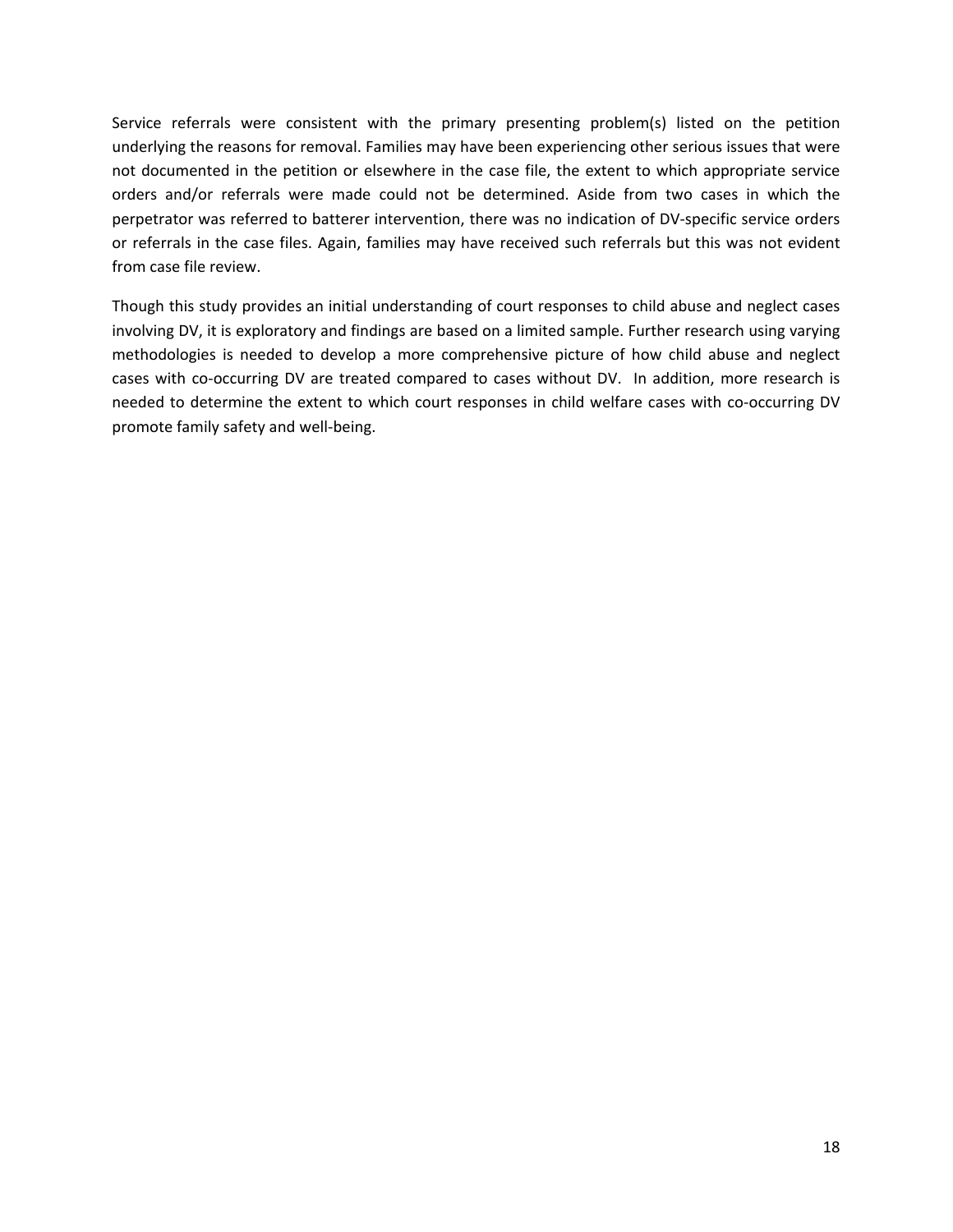issues that should be addressed. For instance, prior research indicates that both perpetrators and victims of domestic violence are significantly more likely than their counterparts to experience substance abuse<sup>11</sup> and mental health<sup>12</sup> issues.

Case file review indicated referrals to DV‐specific services in only two cases. In these cases, the father (who was identified as a perpetrator) was referred to a batterer intervention program. There was no evidence that DV advocates were present at any of the hearings in cases with DV allegations. Perhaps DV advocates did not attend hearings but were otherwise involved in some cases. For example, they may have attended multidisciplinary team meetings or provided legal assistance and support. However, such involvement could not be discerned from the case files. There also was not enough information in the case files to explore efforts made by agencies to prevent removal and reunify. It is possible that numerous specific agency efforts were made and that families received additional services that were not documented in the case files. Alternatively, there may not be adequate services and resources in this rural jurisdiction to address the needs of families affected by domestic violence.

There are several limitations to this exploratory study. There were plans to explore other topics highlighted in the *Reasonable Efforts Checklist*, such as whether there was a separate case plan for each parent and whether there was a focus on keeping the victim and child safe and together. In most cases, there was not enough information to answer these questions. Further, current findings are based on a limited sample of cases. Future research could expand on these initial findings to provide a more comprehensive understanding of court responses to child abuse and neglect cases with co‐occurring domestic violence.

# **Conclusion**

As child abuse and neglect and domestic violence in the home often co-occur, it is critical that courts recognize and respond to domestic violence in child welfare cases appropriately. The current research examined a sample of child abuse and neglect cases including allegations of DV and compared them to cases with no indication of DV. Though sample sizes were relatively small, findings indicate that efforts are being made in this jurisdiction to promote accountability among perpetrators of DV and to minimize blame among victims or non-offending parents. Yet, co-petitions were rare in both DV and non-DV cases.

<sup>12</sup> Domestic Violence and Mental Health Policy Initiative (2003). *Domestic violence, mental health & trauma: Research highlights.* Available at: http://www.vawnet.org/Assoc\_Files\_VAWnet/MentalHealthResearch.pdf

<sup>&</sup>lt;sup>11</sup> Cunradi, C. B., Caetano, R., & Schafer, J. (2002). Alcohol-related problems, drug use, and male intimate partner violence severity among US couples. *Alcoholism: Clinical and Experimental Research, 26*, 493‐500.